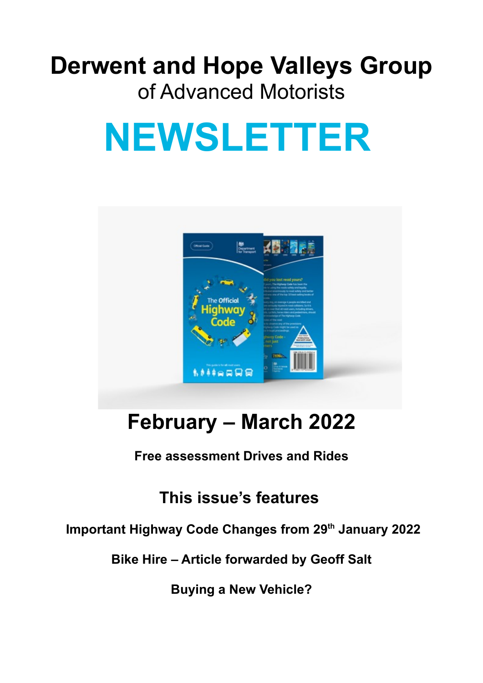# **Derwent and Hope Valleys Group** of Advanced Motorists

# **NEWSLETTER**



# **February – March 2022**

**Free assessment Drives and Rides**

# **This issue's features**

### **Important Highway Code Changes from 29th January 2022**

**Bike Hire – Article forwarded by Geoff Salt**

**Buying a New Vehicle?**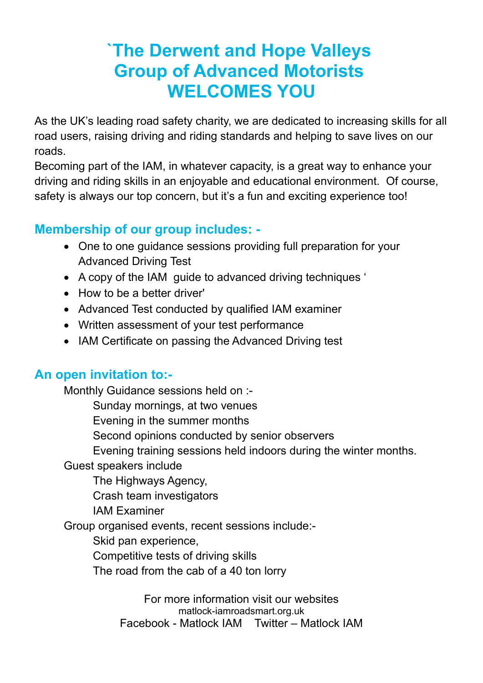# **`The Derwent and Hope Valleys Group of Advanced Motorists WELCOMES YOU**

As the UK's leading road safety charity, we are dedicated to increasing skills for all road users, raising driving and riding standards and helping to save lives on our roads.

Becoming part of the IAM, in whatever capacity, is a great way to enhance your driving and riding skills in an enjoyable and educational environment. Of course, safety is always our top concern, but it's a fun and exciting experience too!

#### **Membership of our group includes: -**

- One to one guidance sessions providing full preparation for your Advanced Driving Test
- A copy of the IAM guide to advanced driving techniques '
- How to be a better driver'
- Advanced Test conducted by qualified IAM examiner
- Written assessment of your test performance
- IAM Certificate on passing the Advanced Driving test

#### **An open invitation to:-**

Monthly Guidance sessions held on :-

Sunday mornings, at two venues

Evening in the summer months

Second opinions conducted by senior observers

Evening training sessions held indoors during the winter months.

Guest speakers include

The Highways Agency,

Crash team investigators

IAM Examiner

Group organised events, recent sessions include:-

Skid pan experience,

Competitive tests of driving skills

The road from the cab of a 40 ton lorry

For more information visit our websites matlock-iamroadsmart.org.uk Facebook - Matlock IAM Twitter – Matlock IAM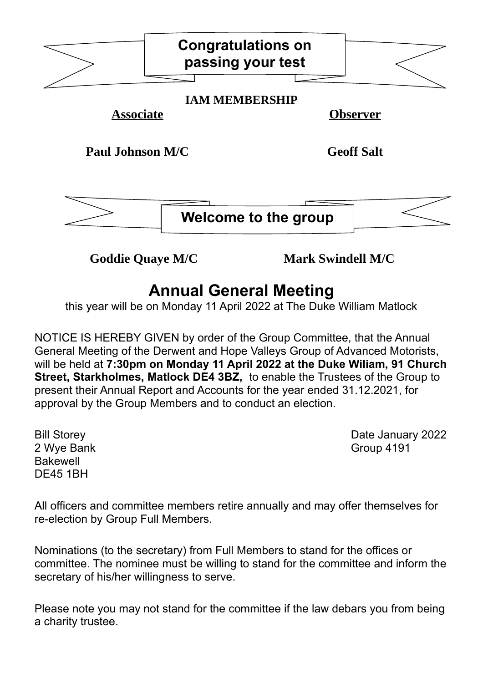|                         | <b>Congratulations on</b><br>passing your test |                   |  |
|-------------------------|------------------------------------------------|-------------------|--|
|                         |                                                |                   |  |
|                         | <b>IAM MEMBERSHIP</b>                          |                   |  |
| <b>Associate</b>        |                                                | <b>Observer</b>   |  |
| <b>Paul Johnson M/C</b> |                                                | <b>Geoff Salt</b> |  |
|                         | Welcome to the group                           |                   |  |

**Goddie Quaye M/C Mark Swindell M/C**

# **Annual General Meeting**

this year will be on Monday 11 April 2022 at The Duke William Matlock

NOTICE IS HEREBY GIVEN by order of the Group Committee, that the Annual General Meeting of the Derwent and Hope Valleys Group of Advanced Motorists, will be held at **7:30pm on Monday 11 April 2022 at the Duke Wiliam, 91 Church Street, Starkholmes, Matlock DE4 3BZ,** to enable the Trustees of the Group to present their Annual Report and Accounts for the year ended 31.12.2021, for approval by the Group Members and to conduct an election.

2 Wye Bank **Group 4191** Bakewell DE45 1BH

Bill Storey **Date January 2022** 

All officers and committee members retire annually and may offer themselves for re-election by Group Full Members.

Nominations (to the secretary) from Full Members to stand for the offices or committee. The nominee must be willing to stand for the committee and inform the secretary of his/her willingness to serve.

Please note you may not stand for the committee if the law debars you from being a charity trustee.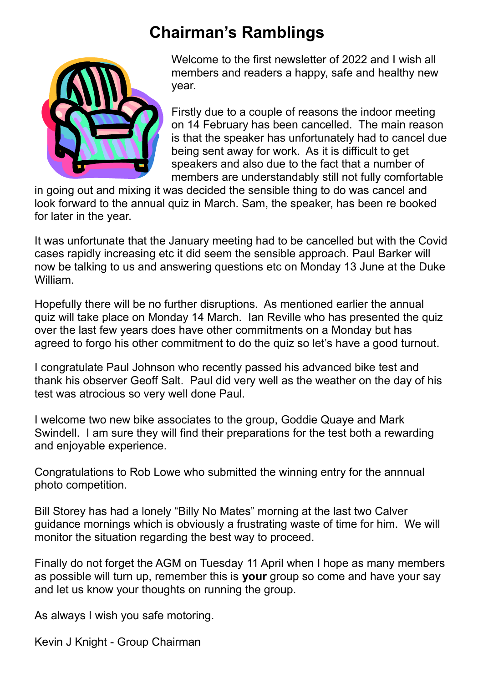# **Chairman's Ramblings**



Welcome to the first newsletter of 2022 and I wish all members and readers a happy, safe and healthy new year.

Firstly due to a couple of reasons the indoor meeting on 14 February has been cancelled. The main reason is that the speaker has unfortunately had to cancel due being sent away for work. As it is difficult to get speakers and also due to the fact that a number of members are understandably still not fully comfortable

in going out and mixing it was decided the sensible thing to do was cancel and look forward to the annual quiz in March. Sam, the speaker, has been re booked for later in the year.

It was unfortunate that the January meeting had to be cancelled but with the Covid cases rapidly increasing etc it did seem the sensible approach. Paul Barker will now be talking to us and answering questions etc on Monday 13 June at the Duke William.

Hopefully there will be no further disruptions. As mentioned earlier the annual quiz will take place on Monday 14 March. Ian Reville who has presented the quiz over the last few years does have other commitments on a Monday but has agreed to forgo his other commitment to do the quiz so let's have a good turnout.

I congratulate Paul Johnson who recently passed his advanced bike test and thank his observer Geoff Salt. Paul did very well as the weather on the day of his test was atrocious so very well done Paul.

I welcome two new bike associates to the group, Goddie Quaye and Mark Swindell. I am sure they will find their preparations for the test both a rewarding and enjoyable experience.

Congratulations to Rob Lowe who submitted the winning entry for the annnual photo competition.

Bill Storey has had a lonely "Billy No Mates" morning at the last two Calver guidance mornings which is obviously a frustrating waste of time for him. We will monitor the situation regarding the best way to proceed.

Finally do not forget the AGM on Tuesday 11 April when I hope as many members as possible will turn up, remember this is **your** group so come and have your say and let us know your thoughts on running the group.

As always I wish you safe motoring.

Kevin J Knight - Group Chairman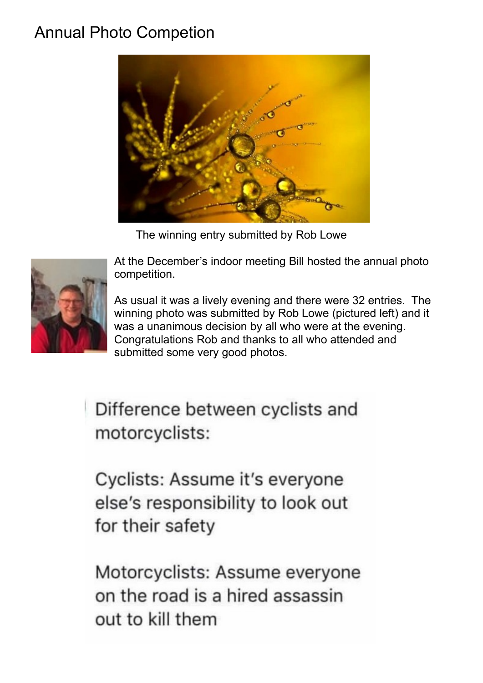# Annual Photo Competion



The winning entry submitted by Rob Lowe



At the December's indoor meeting Bill hosted the annual photo competition.

As usual it was a lively evening and there were 32 entries. The winning photo was submitted by Rob Lowe (pictured left) and it was a unanimous decision by all who were at the evening. Congratulations Rob and thanks to all who attended and submitted some very good photos.

Difference between cyclists and motorcyclists:

Cyclists: Assume it's everyone else's responsibility to look out for their safety

Motorcyclists: Assume everyone on the road is a hired assassin out to kill them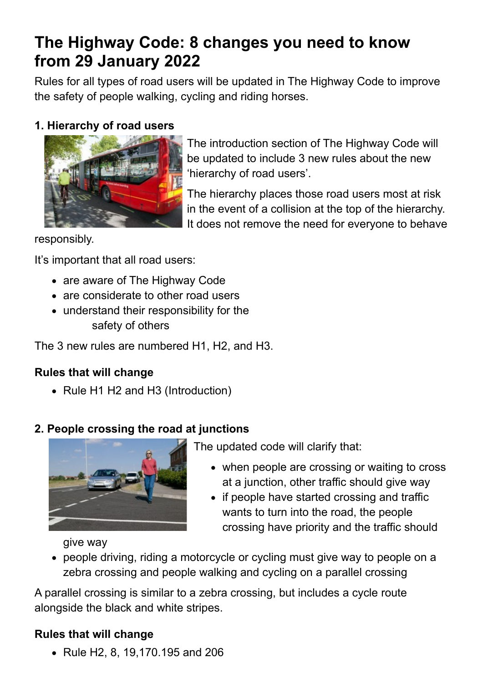# **The Highway Code: 8 changes you need to know from 29 January 2022**

Rules for all types of road users will be updated in The Highway Code to improve the safety of people walking, cycling and riding horses.

#### **1. Hierarchy of road users**



The introduction section of The Highway Code will be updated to include 3 new rules about the new 'hierarchy of road users'.

The hierarchy places those road users most at risk in the event of a collision at the top of the hierarchy. It does not remove the need for everyone to behave

responsibly.

It's important that all road users:

- are aware of The Highway Code
- are considerate to other road users
- understand their responsibility for the safety of others

The 3 new rules are numbered H1, H2, and H3.

#### **Rules that will change**

• Rule H1 H2 and H3 (Introduction)

#### **2. People crossing the road at junctions**



The updated code will clarify that:

- when people are crossing or waiting to cross at a junction, other traffic should give way
- if people have started crossing and traffic wants to turn into the road, the people crossing have priority and the traffic should

give way

 people driving, riding a motorcycle or cycling must give way to people on a zebra crossing and people walking and cycling on a parallel crossing

A parallel crossing is similar to a zebra crossing, but includes a cycle route alongside the black and white stripes.

#### **Rules that will change**

Rule H2, 8, 19,170.195 and 206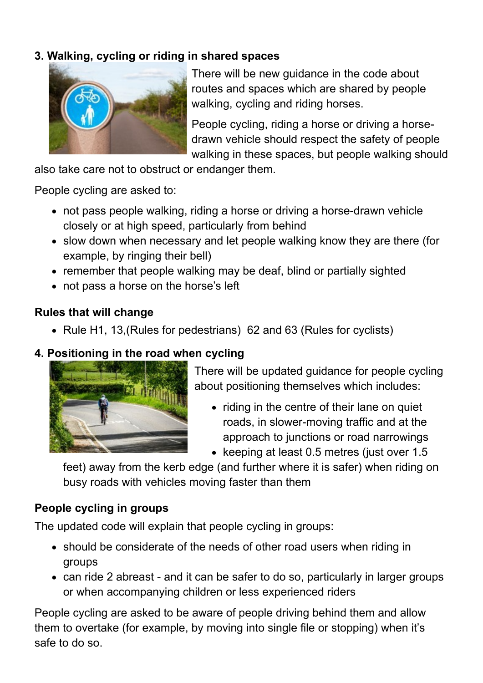#### **3. Walking, cycling or riding in shared spaces**



There will be new guidance in the code about routes and spaces which are shared by people walking, cycling and riding horses.

People cycling, riding a horse or driving a horsedrawn vehicle should respect the safety of people walking in these spaces, but people walking should

also take care not to obstruct or endanger them.

People cycling are asked to:

- not pass people walking, riding a horse or driving a horse-drawn vehicle closely or at high speed, particularly from behind
- slow down when necessary and let people walking know they are there (for example, by ringing their bell)
- remember that people walking may be deaf, blind or partially sighted
- not pass a horse on the horse's left

#### **Rules that will change**

• Rule H1, 13, (Rules for pedestrians) 62 and 63 (Rules for cyclists)

#### **4. Positioning in the road when cycling**



There will be updated guidance for people cycling about positioning themselves which includes:

- riding in the centre of their lane on quiet roads, in slower-moving traffic and at the approach to junctions or road narrowings
- keeping at least 0.5 metres (just over  $1.5$

feet) away from the kerb edge (and further where it is safer) when riding on busy roads with vehicles moving faster than them

#### **People cycling in groups**

The updated code will explain that people cycling in groups:

- should be considerate of the needs of other road users when riding in groups
- can ride 2 abreast and it can be safer to do so, particularly in larger groups or when accompanying children or less experienced riders

People cycling are asked to be aware of people driving behind them and allow them to overtake (for example, by moving into single file or stopping) when it's safe to do so.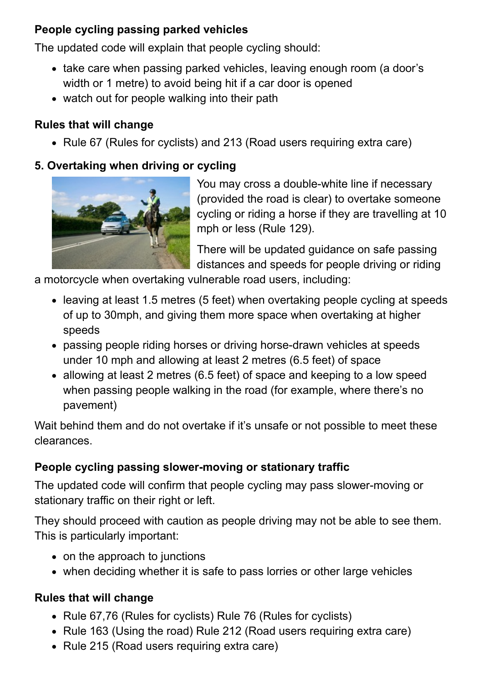#### **People cycling passing parked vehicles**

The updated code will explain that people cycling should:

- take care when passing parked vehicles, leaving enough room (a door's width or 1 metre) to avoid being hit if a car door is opened
- watch out for people walking into their path

#### **Rules that will change**

• Rule 67 (Rules for cyclists) and 213 (Road users requiring extra care)

#### **5. Overtaking when driving or cycling**



You may cross a double-white line if necessary (provided the road is clear) to overtake someone cycling or riding a horse if they are travelling at 10 mph or less (Rule 129).

There will be updated guidance on safe passing distances and speeds for people driving or riding

a motorcycle when overtaking vulnerable road users, including:

- leaving at least 1.5 metres (5 feet) when overtaking people cycling at speeds of up to 30mph, and giving them more space when overtaking at higher speeds
- passing people riding horses or driving horse-drawn vehicles at speeds under 10 mph and allowing at least 2 metres (6.5 feet) of space
- allowing at least 2 metres (6.5 feet) of space and keeping to a low speed when passing people walking in the road (for example, where there's no pavement)

Wait behind them and do not overtake if it's unsafe or not possible to meet these clearances.

#### **People cycling passing slower-moving or stationary traffic**

The updated code will confirm that people cycling may pass slower-moving or stationary traffic on their right or left.

They should proceed with caution as people driving may not be able to see them. This is particularly important:

- on the approach to junctions
- when deciding whether it is safe to pass lorries or other large vehicles

#### **Rules that will change**

- Rule 67,76 (Rules for cyclists) Rule 76 (Rules for cyclists)
- Rule 163 (Using the road) Rule 212 (Road users requiring extra care)
- Rule 215 (Road users requiring extra care)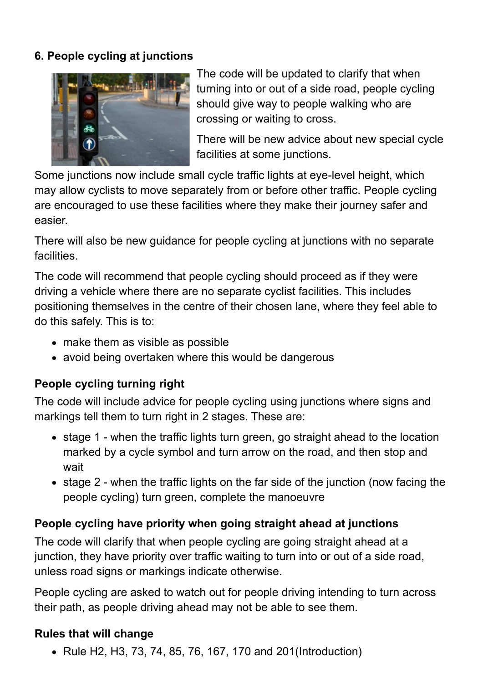#### **6. People cycling at junctions**



The code will be updated to clarify that when turning into or out of a side road, people cycling should give way to people walking who are crossing or waiting to cross.

There will be new advice about new special cycle facilities at some junctions.

Some junctions now include small cycle traffic lights at eye-level height, which may allow cyclists to move separately from or before other traffic. People cycling are encouraged to use these facilities where they make their journey safer and easier.

There will also be new guidance for people cycling at junctions with no separate facilities.

The code will recommend that people cycling should proceed as if they were driving a vehicle where there are no separate cyclist facilities. This includes positioning themselves in the centre of their chosen lane, where they feel able to do this safely. This is to:

- make them as visible as possible
- avoid being overtaken where this would be dangerous

#### **People cycling turning right**

The code will include advice for people cycling using junctions where signs and markings tell them to turn right in 2 stages. These are:

- stage 1 when the traffic lights turn green, go straight ahead to the location marked by a cycle symbol and turn arrow on the road, and then stop and wait
- stage 2 when the traffic lights on the far side of the junction (now facing the people cycling) turn green, complete the manoeuvre

#### **People cycling have priority when going straight ahead at junctions**

The code will clarify that when people cycling are going straight ahead at a junction, they have priority over traffic waiting to turn into or out of a side road, unless road signs or markings indicate otherwise.

People cycling are asked to watch out for people driving intending to turn across their path, as people driving ahead may not be able to see them.

#### **Rules that will change**

• Rule H2, H3, 73, 74, 85, 76, 167, 170 and 201(Introduction)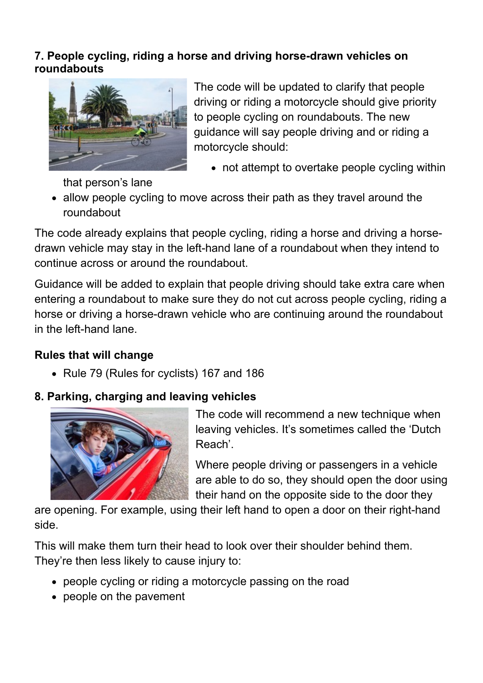#### **7. People cycling, riding a horse and driving horse-drawn vehicles on roundabouts**



The code will be updated to clarify that people driving or riding a motorcycle should give priority to people cycling on roundabouts. The new guidance will say people driving and or riding a motorcycle should:

not attempt to overtake people cycling within

that person's lane

• allow people cycling to move across their path as they travel around the roundabout

The code already explains that people cycling, riding a horse and driving a horsedrawn vehicle may stay in the left-hand lane of a roundabout when they intend to continue across or around the roundabout.

Guidance will be added to explain that people driving should take extra care when entering a roundabout to make sure they do not cut across people cycling, riding a horse or driving a horse-drawn vehicle who are continuing around the roundabout in the left-hand lane.

#### **Rules that will change**

• Rule 79 (Rules for cyclists) 167 and 186

#### **8. Parking, charging and leaving vehicles**



The code will recommend a new technique when leaving vehicles. It's sometimes called the 'Dutch Reach'.

Where people driving or passengers in a vehicle are able to do so, they should open the door using their hand on the opposite side to the door they

are opening. For example, using their left hand to open a door on their right-hand side.

This will make them turn their head to look over their shoulder behind them. They're then less likely to cause injury to:

- people cycling or riding a motorcycle passing on the road
- people on the pavement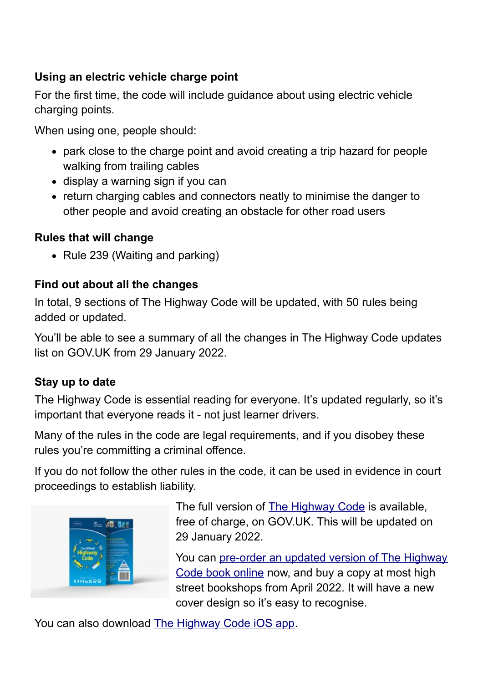#### **Using an electric vehicle charge point**

For the first time, the code will include guidance about using electric vehicle charging points.

When using one, people should:

- park close to the charge point and avoid creating a trip hazard for people walking from trailing cables
- display a warning sign if you can
- return charging cables and connectors neatly to minimise the danger to other people and avoid creating an obstacle for other road users

#### **Rules that will change**

• Rule 239 (Waiting and parking)

#### **Find out about all the changes**

In total, 9 sections of The Highway Code will be updated, with 50 rules being added or updated.

You'll be able to see a summary of all the changes in The Highway Code updates list on GOV.UK from 29 January 2022.

#### **Stay up to date**

The Highway Code is essential reading for everyone. It's updated regularly, so it's important that everyone reads it - not just learner drivers.

Many of the rules in the code are legal requirements, and if you disobey these rules you're committing a criminal offence.

If you do not follow the other rules in the code, it can be used in evidence in court proceedings to establish liability.



The full version of [The Highway Code](https://www.gov.uk/guidance/the-highway-code) is available, free of charge, on GOV.UK. This will be updated on 29 January 2022.

You can [pre-order an updated version of The Highway](https://www.safedrivingforlife.info/shop/official-dvsa-highway-code/) [Code book online](https://www.safedrivingforlife.info/shop/official-dvsa-highway-code/) now, and buy a copy at most high street bookshops from April 2022. It will have a new cover design so it's easy to recognise.

You can also download [The Highway Code iOS app](https://apps.apple.com/gb/app/the-official-dvsa-highway-code/id522687241).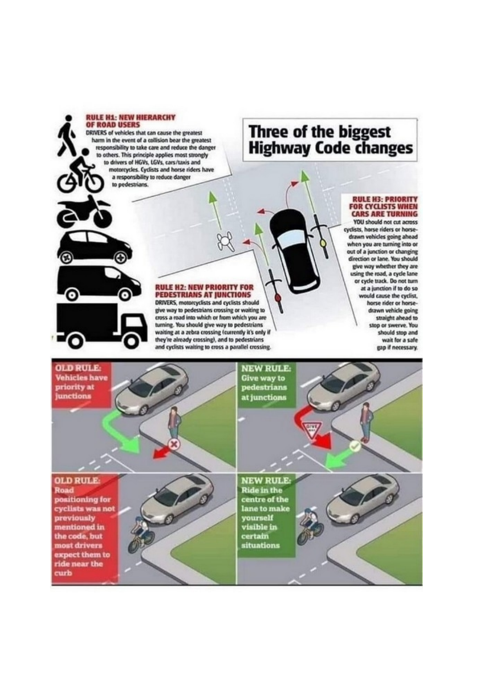#### **RULE H1: NEW HIERARCHY OF ROAD USERS**

Э

ၜ

DRIVERS of vehicles that can cause the greatest harm in the event of a collision bear the greatest responsibility to take care and reduce the danger to others. This principle applies most strongly to drivers of HGVs, LGVs, cars/taxis and motorcycles. Cyclists and horse riders have a responsibility to reduce danger to pedestrians.

### Three of the biggest **Highway Code changes**

#### **RULE H3: PRIORITY FOR CYCLISTS WHEN CARS ARE TURNING**

YOU should not cut across cyclists, horse riders or horsedrawn vehicles going ahead when you are turning into or out of a junction or changing direction or lane. You should give way whether they are using the road, a cycle lane or cycle track. Do not turn at a junction if to do so would cause the cyclist. horse rider or horsedrawn vehicle going straight ahead to stop or swerve. You should stop and wait for a safe gap if necessary.

### **RULE H2: NEW PRIORITY FOR<br>PEDESTRIANS AT JUNCTIONS**

DRIVERS, motorcyclists and cyclists should give way to pedestrians crossing or waiting to cross a road into which or from which you are turning. You should give way to pedestrians waiting at a zebra crossing (currently it's only if they're already crossing), and to pedestrians and cyclists waiting to cross a parallel crossing.

**OLD RULE: NEW RULE: Vehicles have Give way to<br>pedestrians** priority at **junctions** at junctions **NEW RULE-OLD RULE Road Ride in the** positioning for centre of the cyclists was not lane to make yourself previously *visible* in mentioned in the code, but certain most drivers situations expect them to ride near the curb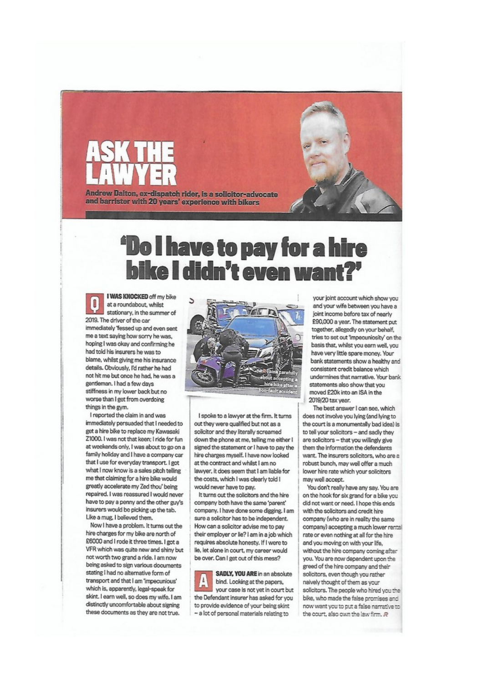

# **Do I have to pay for a hire bike I didn't even wa**

I WAS KNOCKED off my bike at a roundabout, whilst stationary, in the summer of 2019. The driver of the car immediately 'fessed up and even sent me a text saving how sorry he was. hoping I was okay and confirming he had told his insurers he was to blame, whilst giving me his insurance details. Obviously, I'd rather he had not hit me but once he had, he was a gentleman. I had a few days stiffness in my lower back but no worse than I get from overdoing things in the gym.

I reported the claim in and wee immediately persuaded that I needed to get a hire bike to replace my Kawasaki Z1000. I was not that keen; I ride for fun at weekends only, I was about to go on a family holiday and I have a company car that I use for everyday transport. I got what I now know is a sales pitch telling me that claiming for a hire bike would greatly accelerate my Zed thou' being repaired. I was reassured I would never have to pay a penny and the other guy's insurers would be picking up the tab. Like a mug, I believed them.

Now I have a problem. It turns out the hire charges for my bike are north of £6000 and I rode it three times. I got a VFR which was quite new and shiny but not worth two grand a ride. I am now being asked to sign various documents stating I had no alternative form of transport and that I am 'impecunious' which is, apparently, legal-speak for skint. I earn well, so does my wife. I am distinctly uncomfortable about signing these documents as they are not true.



I spoke to a lawyer at the firm. It turns out they were qualified but not as a solicitor and they literally screamed down the phone at me, telling me either I signed the statement or I have to pay the hire charges myself. I have now looked at the contract and whilst I am no lawyer, it does seem that I am liable for the costs, which I was clearly told I would never have to pay.

It turns out the solicitors and the hire company both have the same 'parent' company. I have done some digging, I am sure a solicitor has to be independent. How can a solicitor advise me to pay their employer or lie? I am in a job which requires absolute honesty. If I were to lie, let alone in court, my career would be over. Can I get out of this mess?

SADLY, YOU ARE in an absolute bind. Looking at the papers, your case is not yet in court but the Defendant insurer has asked for you to provide evidence of your being skint - a lot of personal materials relating to

your joint account which show you and your wife between you have a joint income before tax of nearly £90,000 a year. The statement put together, allegedly on your behalf, tries to set out 'Impecuniosity' on the basis that, whilst you earn well, you have very little spare money. Your bank statements show a healthy and consistent credit balance which undermines that narrative. Your bank statements also show that you moved £20k into an ISA in the 2019/20 tax year.

The best answer I can see, which does not involve you lying (and lying to the court is a monumentally bad idea) is to tell your solicitors - and sadly they are solicitors - that you willingly give them the information the defendants want. The insurers solicitors, who are a robust bunch, may well offer a much lower hire rate which your solicitors may well accept.

You don't really have any say. You are on the hook for six grand for a bike you did not want or need. I hope this ends with the solicitors and credit hire company (who are in reality the same company) accepting a much lower rental rate or even nothing at all for the hire and you moving on with your life, without the hire company coming after you. You are now dependent upon the greed of the hire company and their solicitors, even though you rather naively thought of them as your solicitors. The people who hired you the bike, who made the false promises and now want you to put a false narrative to the court, also own the law firm. R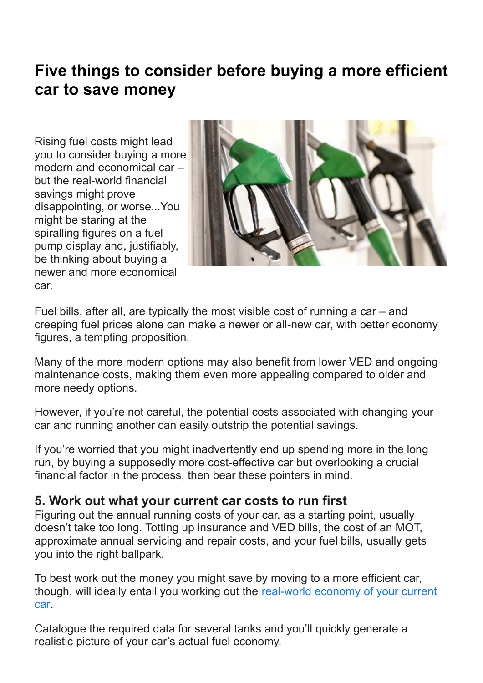# **Five things to consider before buying a more efficient car to save money**

Rising fuel costs might lead you to consider buying a more modern and economical car – but the real-world financial savings might prove disappointing, or worse...You might be staring at the spiralling figures on a fuel pump display and, justifiably, be thinking about buying a newer and more economical car.



Fuel bills, after all, are typically the most visible cost of running a car – and creeping fuel prices alone can make a newer or all-new car, with better economy figures, a tempting proposition.

Many of the more modern options may also benefit from lower VED and ongoing maintenance costs, making them even more appealing compared to older and more needy options.

However, if you're not careful, the potential costs associated with changing your car and running another can easily outstrip the potential savings.

If you're worried that you might inadvertently end up spending more in the long run, by buying a supposedly more cost-effective car but overlooking a crucial financial factor in the process, then bear these pointers in mind.

#### **5. Work out what your current car costs to run first**

Figuring out the annual running costs of your car, as a starting point, usually doesn't take too long. Totting up insurance and VED bills, the cost of an MOT, approximate annual servicing and repair costs, and your fuel bills, usually gets you into the right ballpark.

To best work out the money you might save by moving to a more efficient car, though, will ideally entail you working out the [real-world economy of your current](https://www.yesauto.co.uk/content/article/how-to-accurately-calculate-your-fuel-economy-for-petrol-diesel-hybrid-and-electric-cars-25888)  [car](https://www.yesauto.co.uk/content/article/how-to-accurately-calculate-your-fuel-economy-for-petrol-diesel-hybrid-and-electric-cars-25888).

Catalogue the required data for several tanks and you'll quickly generate a realistic picture of your car's actual fuel economy.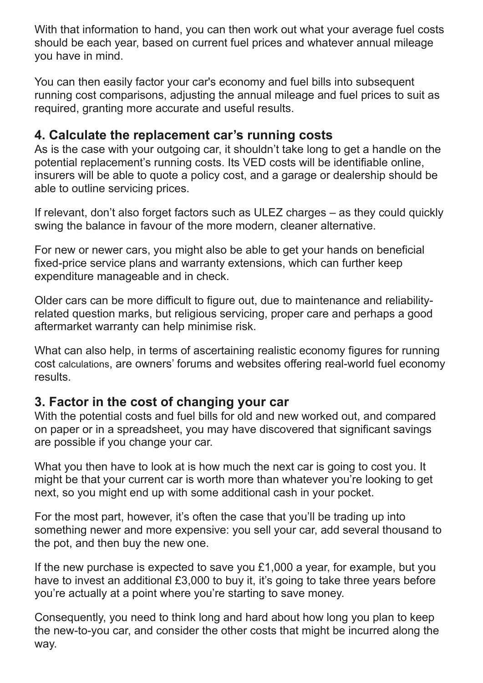With that information to hand, you can then work out what your average fuel costs should be each year, based on current fuel prices and whatever annual mileage you have in mind.

You can then easily factor your car's economy and fuel bills into subsequent running cost comparisons, adjusting the annual mileage and fuel prices to suit as required, granting more accurate and useful results.

#### **4. Calculate the replacement car's running costs**

As is the case with your outgoing car, it shouldn't take long to get a handle on the potential replacement's running costs. Its VED costs will be identifiable online, insurers will be able to quote a policy cost, and a garage or dealership should be able to outline servicing prices.

If relevant, don't also forget factors such as ULEZ charges – as they could quickly swing the balance in favour of the more modern, cleaner alternative.

For new or newer cars, you might also be able to get your hands on beneficial fixed-price service plans and warranty extensions, which can further keep expenditure manageable and in check.

Older cars can be more difficult to figure out, due to maintenance and reliabilityrelated question marks, but religious servicing, proper care and perhaps a good aftermarket warranty can help minimise risk.

What can also help, in terms of ascertaining realistic economy figures for running cost calculations, are owners' forums and websites offering real-world fuel economy results.

#### **3. Factor in the cost of changing your car**

With the potential costs and fuel bills for old and new worked out, and compared on paper or in a spreadsheet, you may have discovered that significant savings are possible if you change your car.

What you then have to look at is how much the next car is going to cost you. It might be that your current car is worth more than whatever you're looking to get next, so you might end up with some additional cash in your pocket.

For the most part, however, it's often the case that you'll be trading up into something newer and more expensive: you sell your car, add several thousand to the pot, and then buy the new one.

If the new purchase is expected to save you £1,000 a year, for example, but you have to invest an additional £3,000 to buy it, it's going to take three years before you're actually at a point where you're starting to save money.

Consequently, you need to think long and hard about how long you plan to keep the new-to-you car, and consider the other costs that might be incurred along the way.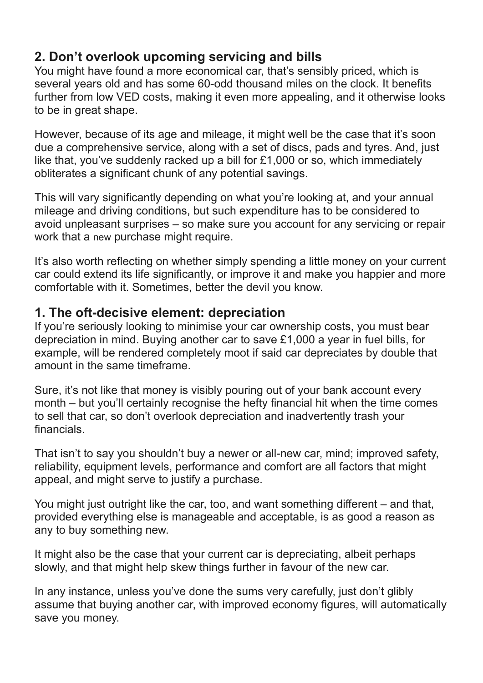#### **2. Don't overlook upcoming servicing and bills**

You might have found a more economical car, that's sensibly priced, which is several years old and has some 60-odd thousand miles on the clock. It benefits further from low VED costs, making it even more appealing, and it otherwise looks to be in great shape.

However, because of its age and mileage, it might well be the case that it's soon due a comprehensive service, along with a set of discs, pads and tyres. And, just like that, you've suddenly racked up a bill for £1,000 or so, which immediately obliterates a significant chunk of any potential savings.

This will vary significantly depending on what you're looking at, and your annual mileage and driving conditions, but such expenditure has to be considered to avoid unpleasant surprises – so make sure you account for any servicing or repair work that a new purchase might require.

It's also worth reflecting on whether simply spending a little money on your current car could extend its life significantly, or improve it and make you happier and more comfortable with it. Sometimes, better the devil you know.

#### **1. The oft-decisive element: depreciation**

If you're seriously looking to minimise your car ownership costs, you must bear depreciation in mind. Buying another car to save £1,000 a year in fuel bills, for example, will be rendered completely moot if said car depreciates by double that amount in the same timeframe.

Sure, it's not like that money is visibly pouring out of your bank account every month – but you'll certainly recognise the hefty financial hit when the time comes to sell that car, so don't overlook depreciation and inadvertently trash your financials.

That isn't to say you shouldn't buy a newer or all-new car, mind; improved safety, reliability, equipment levels, performance and comfort are all factors that might appeal, and might serve to justify a purchase.

You might just outright like the car, too, and want something different – and that, provided everything else is manageable and acceptable, is as good a reason as any to buy something new.

It might also be the case that your current car is depreciating, albeit perhaps slowly, and that might help skew things further in favour of the new car.

In any instance, unless you've done the sums very carefully, just don't glibly assume that buying another car, with improved economy figures, will automatically save you money.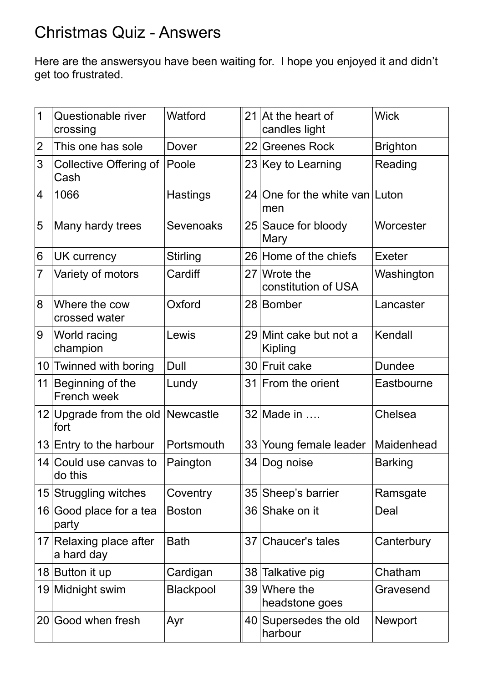# Christmas Quiz - Answers

Here are the answersyou have been waiting for. I hope you enjoyed it and didn't get too frustrated.

| $\mathbf 1$    | Questionable river<br>crossing            | Watford          | 21              | At the heart of<br>candles light      | <b>Wick</b>     |
|----------------|-------------------------------------------|------------------|-----------------|---------------------------------------|-----------------|
| $\overline{2}$ | This one has sole                         | Dover            | 22              | <b>Greenes Rock</b>                   | <b>Brighton</b> |
| 3              | Collective Offering of<br>Cash            | Poole            |                 | 23 Key to Learning                    | Reading         |
| $\overline{4}$ | 1066                                      | <b>Hastings</b>  |                 | 24 One for the white van Luton<br>men |                 |
| 5              | Many hardy trees                          | <b>Sevenoaks</b> |                 | 25 Sauce for bloody<br>Mary           | Worcester       |
| 6              | UK currency                               | <b>Stirling</b>  |                 | 26 Home of the chiefs                 | <b>Exeter</b>   |
| $\overline{7}$ | Variety of motors                         | Cardiff          |                 | 27 Wrote the<br>constitution of USA   | Washington      |
| 8              | Where the cow<br>crossed water            | Oxford           |                 | 28 Bomber                             | Lancaster       |
| 9              | World racing<br>champion                  | Lewis            | 29              | Mint cake but not a<br>Kipling        | Kendall         |
|                | 10 Twinned with boring                    | Dull             | 30              | <b>Fruit cake</b>                     | <b>Dundee</b>   |
| 11             | Beginning of the<br>French week           | Lundy            | 31              | From the orient                       | Eastbourne      |
|                | 12 Upgrade from the old Newcastle<br>fort |                  |                 | 32 Made in                            | Chelsea         |
|                | $13$ Entry to the harbour                 | Portsmouth       | 33              | Young female leader                   | Maidenhead      |
|                | 14 Could use canvas to<br>do this         | Paington         |                 | 34 Dog noise                          | <b>Barking</b>  |
|                | 15 Struggling witches                     | Coventry         | 35              | Sheep's barrier                       | Ramsgate        |
|                | 16 Good place for a tea<br>party          | <b>Boston</b>    |                 | 36 Shake on it                        | Deal            |
|                | 17 Relaxing place after<br>a hard day     | <b>Bath</b>      | 37 <sup>1</sup> | Chaucer's tales                       | Canterbury      |
|                | 18 Button it up                           | Cardigan         | 38              | Talkative pig                         | Chatham         |
|                | 19 Midnight swim                          | Blackpool        |                 | 39 Where the<br>headstone goes        | Gravesend       |
| 20             | Good when fresh                           | Ayr              |                 | 40 Supersedes the old<br>harbour      | <b>Newport</b>  |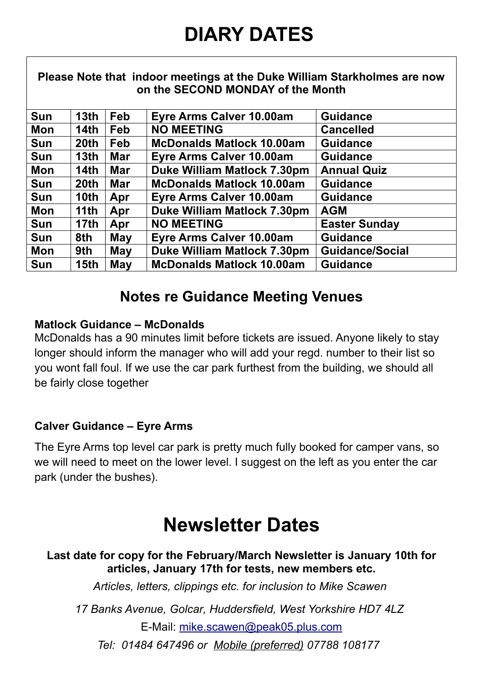# **DIARY DATES**

| Please Note that indoor meetings at the Duke William Starkholmes are now<br>on the SECOND MONDAY of the Month |                  |            |                                    |                        |
|---------------------------------------------------------------------------------------------------------------|------------------|------------|------------------------------------|------------------------|
| <b>Sun</b>                                                                                                    | 13 <sub>th</sub> | Feb        | Eyre Arms Calver 10.00am           | <b>Guidance</b>        |
| <b>Mon</b>                                                                                                    | 14th             | Feb        | <b>NO MEETING</b>                  | <b>Cancelled</b>       |
| Sun                                                                                                           | 20 <sup>th</sup> | <b>Feb</b> | <b>McDonalds Matlock 10.00am</b>   | <b>Guidance</b>        |
| <b>Sun</b>                                                                                                    | 13 <sub>th</sub> | <b>Mar</b> | Eyre Arms Calver 10.00am           | <b>Guidance</b>        |
| <b>Mon</b>                                                                                                    | 14th             | <b>Mar</b> | <b>Duke William Matlock 7.30pm</b> | <b>Annual Quiz</b>     |
| <b>Sun</b>                                                                                                    | 20th             | <b>Mar</b> | <b>McDonalds Matlock 10.00am</b>   | <b>Guidance</b>        |
| Sun                                                                                                           | 10th             | Apr        | Eyre Arms Calver 10.00am           | <b>Guidance</b>        |
| <b>Mon</b>                                                                                                    | 11th             | Apr        | <b>Duke William Matlock 7.30pm</b> | <b>AGM</b>             |
| <b>Sun</b>                                                                                                    | 17 <sub>th</sub> | Apr        | <b>NO MEETING</b>                  | <b>Easter Sunday</b>   |
| <b>Sun</b>                                                                                                    | 8th              | May        | <b>Eyre Arms Calver 10.00am</b>    | <b>Guidance</b>        |
| Mon                                                                                                           | 9th              | May        | <b>Duke William Matlock 7.30pm</b> | <b>Guidance/Social</b> |
| <b>Sun</b>                                                                                                    | 15 <sub>th</sub> | May        | <b>McDonalds Matlock 10.00am</b>   | <b>Guidance</b>        |

### **Notes re Guidance Meeting Venues**

#### **Matlock Guidance – McDonalds**

McDonalds has a 90 minutes limit before tickets are issued. Anyone likely to stay longer should inform the manager who will add your regd. number to their list so you wont fall foul. If we use the car park furthest from the building, we should all be fairly close together

#### **Calver Guidance – Eyre Arms**

The Eyre Arms top level car park is pretty much fully booked for camper vans, so we will need to meet on the lower level. I suggest on the left as you enter the car park (under the bushes).

# **Newsletter Dates**

**Last date for copy for the February/March Newsletter is January 10th for articles, January 17th for tests, new members etc.** *Articles, letters, clippings etc. for inclusion to Mike Scawen 17 Banks Avenue, Golcar, Huddersfield, West Yorkshire HD7 4LZ*  E-Mail: mike.scawen@peak05.plus.com

*Tel: 01484 647496 or Mobile (preferred) 07788 108177*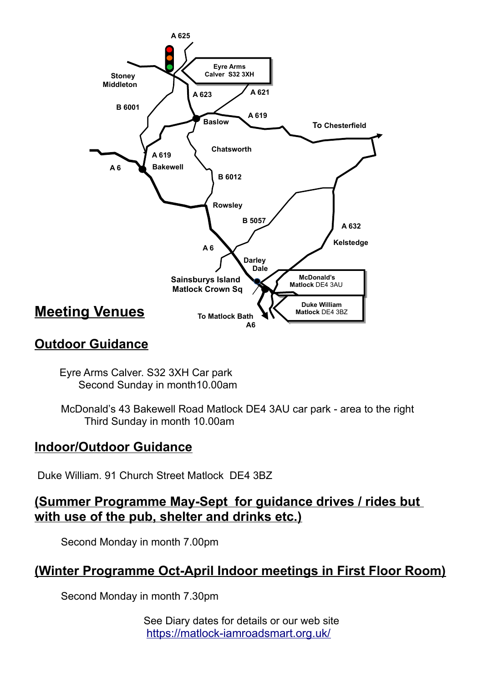

#### **Outdoor Guidance**

 Eyre Arms Calver. S32 3XH Car park Second Sunday in month10.00am

 McDonald's 43 Bakewell Road Matlock DE4 3AU car park - area to the right Third Sunday in month 10.00am

#### **Indoor/Outdoor Guidance**

Duke William. 91 Church Street Matlock DE4 3BZ

**(Summer Programme May-Sept for guidance drives / rides but with use of the pub, shelter and drinks etc.)**

Second Monday in month 7.00pm

#### **(Winter Programme Oct-April Indoor meetings in First Floor Room)**

Second Monday in month 7.30pm

See Diary dates for details or our web site <https://matlock-iamroadsmart.org.uk/>